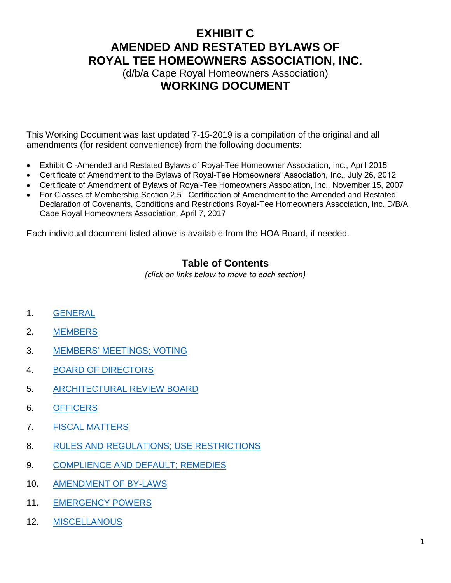(d/b/a Cape Royal Homeowners Association) **WORKING DOCUMENT**

This Working Document was last updated 7-15-2019 is a compilation of the original and all amendments (for resident convenience) from the following documents:

- Exhibit C -Amended and Restated Bylaws of Royal-Tee Homeowner Association, Inc., April 2015
- Certificate of Amendment to the Bylaws of Royal-Tee Homeowners' Association, Inc., July 26, 2012
- Certificate of Amendment of Bylaws of Royal-Tee Homeowners Association, Inc., November 15, 2007
- For Classes of Membership Section 2.5 Certification of Amendment to the Amended and Restated Declaration of Covenants, Conditions and Restrictions Royal-Tee Homeowners Association, Inc. D/B/A Cape Royal Homeowners Association, April 7, 2017

Each individual document listed above is available from the HOA Board, if needed.

### **Table of Contents**

*(click on links below to move to each section)*

- 1. [GENERAL](#page-1-0)
- 2. [MEMBERS](#page-1-1)
- 3. [MEMBERS' MEETINGS; VOTING](#page-3-0)
- 4. [BOARD OF DIRECTORS](#page-5-0)
- 5. [ARCHITECTURAL REVIEW BOARD](#page-10-0)
- 6. [OFFICERS](#page-10-1)
- 7. [FISCAL MATTERS](#page-12-0)
- 8. [RULES AND REGULATIONS; USE RESTRICTIONS](#page-15-0)
- 9. [COMPLIENCE AND DEFAULT; REMEDIES](#page-15-1)
- 10. [AMENDMENT OF BY-LAWS](#page-16-0)
- 11. [EMERGENCY POWERS](#page-17-0)
- 12. [MISCELLANOUS](#page-18-0)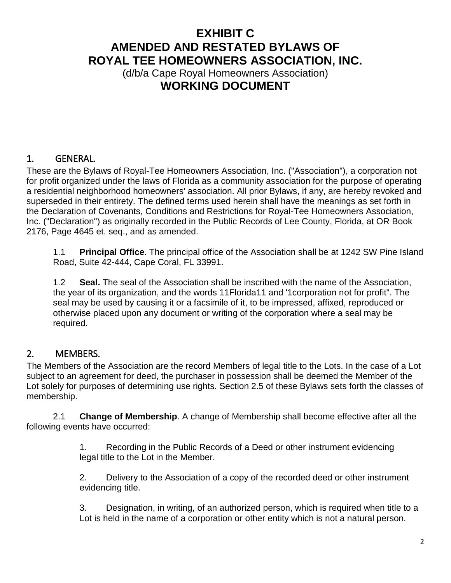(d/b/a Cape Royal Homeowners Association) **WORKING DOCUMENT**

### <span id="page-1-0"></span>1. GENERAL.

These are the Bylaws of Royal-Tee Homeowners Association, Inc. ("Association"), a corporation not for profit organized under the laws of Florida as a community association for the purpose of operating a residential neighborhood homeowners' association. All prior Bylaws, if any, are hereby revoked and superseded in their entirety. The defined terms used herein shall have the meanings as set forth in the Declaration of Covenants, Conditions and Restrictions for Royal-Tee Homeowners Association, Inc. ("Declaration") as originally recorded in the Public Records of Lee County, Florida, at OR Book 2176, Page 4645 et. seq., and as amended.

1.1 **Principal Office**. The principal office of the Association shall be at 1242 SW Pine Island Road, Suite 42-444, Cape Coral, FL 33991.

1.2 **Seal.** The seal of the Association shall be inscribed with the name of the Association, the year of its organization, and the words 11Florida11 and '1corporation not for profit". The seal may be used by causing it or a facsimile of it, to be impressed, affixed, reproduced or otherwise placed upon any document or writing of the corporation where a seal may be required.

### <span id="page-1-1"></span>2. MEMBERS.

The Members of the Association are the record Members of legal title to the Lots. In the case of a Lot subject to an agreement for deed, the purchaser in possession shall be deemed the Member of the Lot solely for purposes of determining use rights. Section 2.5 of these Bylaws sets forth the classes of membership.

2.1 **Change of Membership**. A change of Membership shall become effective after all the following events have occurred:

> 1. Recording in the Public Records of a Deed or other instrument evidencing legal title to the Lot in the Member.

2. Delivery to the Association of a copy of the recorded deed or other instrument evidencing title.

3. Designation, in writing, of an authorized person, which is required when title to a Lot is held in the name of a corporation or other entity which is not a natural person.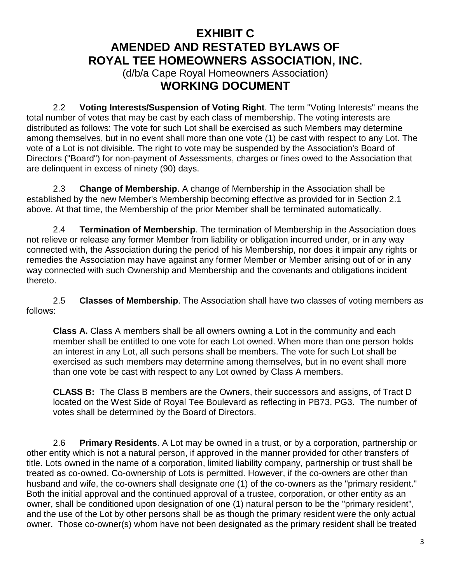(d/b/a Cape Royal Homeowners Association) **WORKING DOCUMENT**

2.2 **Voting Interests/Suspension of Voting Right**. The term "Voting Interests" means the total number of votes that may be cast by each class of membership. The voting interests are distributed as follows: The vote for such Lot shall be exercised as such Members may determine among themselves, but in no event shall more than one vote (1) be cast with respect to any Lot. The vote of a Lot is not divisible. The right to vote may be suspended by the Association's Board of Directors ("Board") for non-payment of Assessments, charges or fines owed to the Association that are delinquent in excess of ninety (90) days.

2.3 **Change of Membership**. A change of Membership in the Association shall be established by the new Member's Membership becoming effective as provided for in Section 2.1 above. At that time, the Membership of the prior Member shall be terminated automatically.

2.4 **Termination of Membership**. The termination of Membership in the Association does not relieve or release any former Member from liability or obligation incurred under, or in any way connected with, the Association during the period of his Membership, nor does it impair any rights or remedies the Association may have against any former Member or Member arising out of or in any way connected with such Ownership and Membership and the covenants and obligations incident thereto.

2.5 **Classes of Membership**. The Association shall have two classes of voting members as follows:

**Class A.** Class A members shall be all owners owning a Lot in the community and each member shall be entitled to one vote for each Lot owned. When more than one person holds an interest in any Lot, all such persons shall be members. The vote for such Lot shall be exercised as such members may determine among themselves, but in no event shall more than one vote be cast with respect to any Lot owned by Class A members.

**CLASS B:** The Class B members are the Owners, their successors and assigns, of Tract D located on the West Side of Royal Tee Boulevard as reflecting in PB73, PG3. The number of votes shall be determined by the Board of Directors.

2.6 **Primary Residents**. A Lot may be owned in a trust, or by a corporation, partnership or other entity which is not a natural person, if approved in the manner provided for other transfers of title. Lots owned in the name of a corporation, limited liability company, partnership or trust shall be treated as co-owned. Co-ownership of Lots is permitted. However, if the co-owners are other than husband and wife, the co-owners shall designate one (1) of the co-owners as the "primary resident." Both the initial approval and the continued approval of a trustee, corporation, or other entity as an owner, shall be conditioned upon designation of one (1) natural person to be the "primary resident", and the use of the Lot by other persons shall be as though the primary resident were the only actual owner. Those co-owner(s) whom have not been designated as the primary resident shall be treated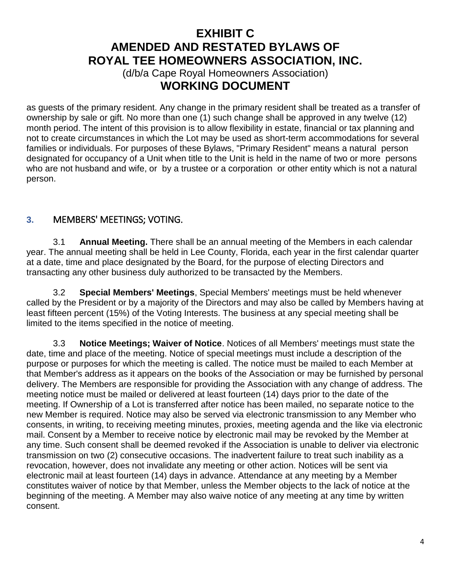(d/b/a Cape Royal Homeowners Association) **WORKING DOCUMENT**

as guests of the primary resident. Any change in the primary resident shall be treated as a transfer of ownership by sale or gift. No more than one (1) such change shall be approved in any twelve (12) month period. The intent of this provision is to allow flexibility in estate, financial or tax planning and not to create circumstances in which the Lot may be used as short-term accommodations for several families or individuals. For purposes of these Bylaws, "Primary Resident" means a natural person designated for occupancy of a Unit when title to the Unit is held in the name of two or more persons who are not husband and wife, or by a trustee or a corporation or other entity which is not a natural person.

#### <span id="page-3-0"></span>**3.** MEMBERS' MEETINGS; VOTING.

3.1 **Annual Meeting.** There shall be an annual meeting of the Members in each calendar year. The annual meeting shall be held in Lee County, Florida, each year in the first calendar quarter at a date, time and place designated by the Board, for the purpose of electing Directors and transacting any other business duly authorized to be transacted by the Members.

3.2 **Special Members' Meetings**, Special Members' meetings must be held whenever called by the President or by a majority of the Directors and may also be called by Members having at least fifteen percent (15%) of the Voting Interests. The business at any special meeting shall be limited to the items specified in the notice of meeting.

3.3 **Notice Meetings; Waiver of Notice**. Notices of all Members' meetings must state the date, time and place of the meeting. Notice of special meetings must include a description of the purpose or purposes for which the meeting is called. The notice must be mailed to each Member at that Member's address as it appears on the books of the Association or may be furnished by personal delivery. The Members are responsible for providing the Association with any change of address. The meeting notice must be mailed or delivered at least fourteen (14) days prior to the date of the meeting. If Ownership of a Lot is transferred after notice has been mailed, no separate notice to the new Member is required. Notice may also be served via electronic transmission to any Member who consents, in writing, to receiving meeting minutes, proxies, meeting agenda and the like via electronic mail. Consent by a Member to receive notice by electronic mail may be revoked by the Member at any time. Such consent shall be deemed revoked if the Association is unable to deliver via electronic transmission on two (2) consecutive occasions. The inadvertent failure to treat such inability as a revocation, however, does not invalidate any meeting or other action. Notices will be sent via electronic mail at least fourteen (14) days in advance. Attendance at any meeting by a Member constitutes waiver of notice by that Member, unless the Member objects to the lack of notice at the beginning of the meeting. A Member may also waive notice of any meeting at any time by written consent.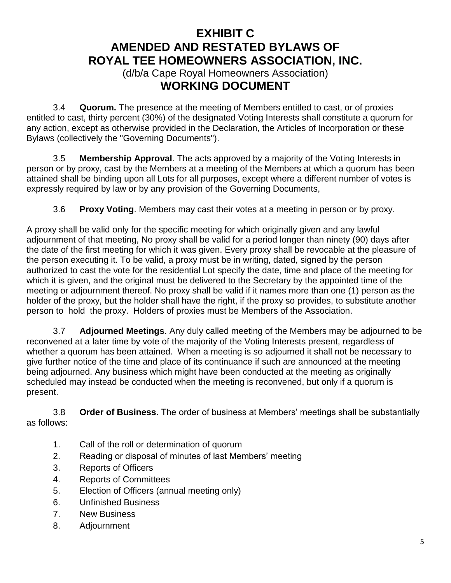(d/b/a Cape Royal Homeowners Association) **WORKING DOCUMENT**

3.4 **Quorum.** The presence at the meeting of Members entitled to cast, or of proxies entitled to cast, thirty percent (30%) of the designated Voting Interests shall constitute a quorum for any action, except as otherwise provided in the Declaration, the Articles of Incorporation or these Bylaws (collectively the "Governing Documents").

3.5 **Membership Approval**. The acts approved by a majority of the Voting Interests in person or by proxy, cast by the Members at a meeting of the Members at which a quorum has been attained shall be binding upon all Lots for all purposes, except where a different number of votes is expressly required by law or by any provision of the Governing Documents,

3.6 **Proxy Voting**. Members may cast their votes at a meeting in person or by proxy.

A proxy shall be valid only for the specific meeting for which originally given and any lawful adjournment of that meeting, No proxy shall be valid for a period longer than ninety (90) days after the date of the first meeting for which it was given. Every proxy shall be revocable at the pleasure of the person executing it. To be valid, a proxy must be in writing, dated, signed by the person authorized to cast the vote for the residential Lot specify the date, time and place of the meeting for which it is given, and the original must be delivered to the Secretary by the appointed time of the meeting or adjournment thereof. No proxy shall be valid if it names more than one (1) person as the holder of the proxy, but the holder shall have the right, if the proxy so provides, to substitute another person to hold the proxy. Holders of proxies must be Members of the Association.

3.7 **Adjourned Meetings**. Any duly called meeting of the Members may be adjourned to be reconvened at a later time by vote of the majority of the Voting Interests present, regardless of whether a quorum has been attained. When a meeting is so adjourned it shall not be necessary to give further notice of the time and place of its continuance if such are announced at the meeting being adjourned. Any business which might have been conducted at the meeting as originally scheduled may instead be conducted when the meeting is reconvened, but only if a quorum is present.

3.8 **Order of Business**. The order of business at Members' meetings shall be substantially as follows:

- 1. Call of the roll or determination of quorum
- 2. Reading or disposal of minutes of last Members' meeting
- 3. Reports of Officers
- 4. Reports of Committees
- 5. Election of Officers (annual meeting only)
- 6. Unfinished Business
- 7. New Business
- 8. Adjournment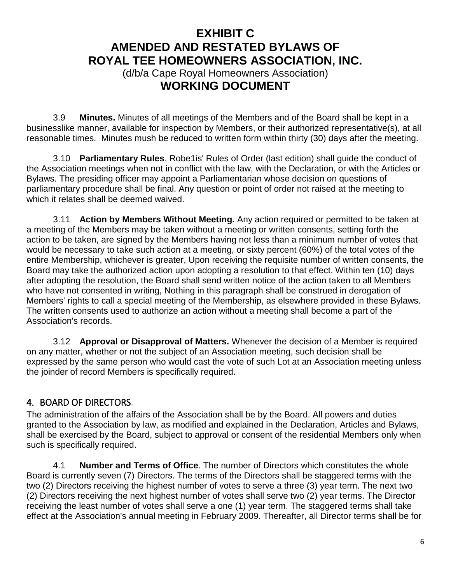(d/b/a Cape Royal Homeowners Association) **WORKING DOCUMENT**

3.9 **Minutes.** Minutes of all meetings of the Members and of the Board shall be kept in a businesslike manner, available for inspection by Members, or their authorized representative(s), at all reasonable times. Minutes mush be reduced to written form within thirty (30) days after the meeting.

3.10 **Parliamentary Rules**. Robe1is' Rules of Order (last edition) shall guide the conduct of the Association meetings when not in conflict with the law, with the Declaration, or with the Articles or Bylaws. The presiding officer may appoint a Parliamentarian whose decision on questions of parliamentary procedure shall be final. Any question or point of order not raised at the meeting to which it relates shall be deemed waived.

3.11 **Action by Members Without Meeting.** Any action required or permitted to be taken at a meeting of the Members may be taken without a meeting or written consents, setting forth the action to be taken, are signed by the Members having not less than a minimum number of votes that would be necessary to take such action at a meeting, or sixty percent (60%) of the total votes of the entire Membership, whichever is greater, Upon receiving the requisite number of written consents, the Board may take the authorized action upon adopting a resolution to that effect. Within ten (10) days after adopting the resolution, the Board shall send written notice of the action taken to all Members who have not consented in writing, Nothing in this paragraph shall be construed in derogation of Members' rights to call a special meeting of the Membership, as elsewhere provided in these Bylaws. The written consents used to authorize an action without a meeting shall become a part of the Association's records.

3.12 **Approval or Disapproval of Matters.** Whenever the decision of a Member is required on any matter, whether or not the subject of an Association meeting, such decision shall be expressed by the same person who would cast the vote of such Lot at an Association meeting unless the joinder of record Members is specifically required.

#### <span id="page-5-0"></span>4. BOARD OF DIRECTORS.

The administration of the affairs of the Association shall be by the Board. All powers and duties granted to the Association by law, as modified and explained in the Declaration, Articles and Bylaws, shall be exercised by the Board, subject to approval or consent of the residential Members only when such is specifically required.

4.1 **Number and Terms of Office**. The number of Directors which constitutes the whole Board is currently seven (7) Directors. The terms of the Directors shall be staggered terms with the two (2) Directors receiving the highest number of votes to serve a three (3) year term. The next two (2) Directors receiving the next highest number of votes shall serve two (2) year terms. The Director receiving the least number of votes shall serve a one (1) year term. The staggered terms shall take effect at the Association's annual meeting in February 2009. Thereafter, all Director terms shall be for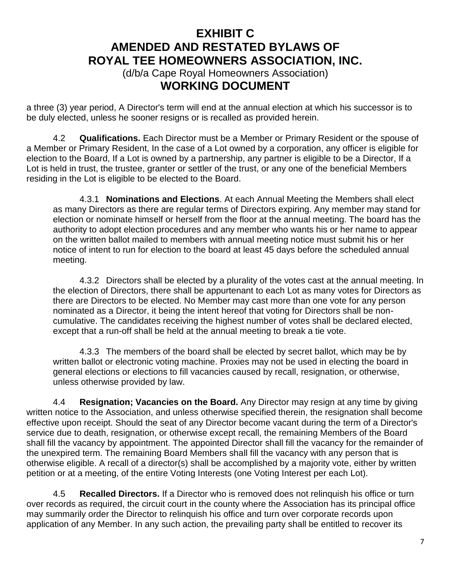(d/b/a Cape Royal Homeowners Association) **WORKING DOCUMENT**

a three (3) year period, A Director's term will end at the annual election at which his successor is to be duly elected, unless he sooner resigns or is recalled as provided herein.

4.2 **Qualifications.** Each Director must be a Member or Primary Resident or the spouse of a Member or Primary Resident, In the case of a Lot owned by a corporation, any officer is eligible for election to the Board, If a Lot is owned by a partnership, any partner is eligible to be a Director, If a Lot is held in trust, the trustee, granter or settler of the trust, or any one of the beneficial Members residing in the Lot is eligible to be elected to the Board.

4.3.1 **Nominations and Elections**. At each Annual Meeting the Members shall elect as many Directors as there are regular terms of Directors expiring. Any member may stand for election or nominate himself or herself from the floor at the annual meeting. The board has the authority to adopt election procedures and any member who wants his or her name to appear on the written ballot mailed to members with annual meeting notice must submit his or her notice of intent to run for election to the board at least 45 days before the scheduled annual meeting.

4.3.2 Directors shall be elected by a plurality of the votes cast at the annual meeting. In the election of Directors, there shall be appurtenant to each Lot as many votes for Directors as there are Directors to be elected. No Member may cast more than one vote for any person nominated as a Director, it being the intent hereof that voting for Directors shall be noncumulative. The candidates receiving the highest number of votes shall be declared elected, except that a run-off shall be held at the annual meeting to break a tie vote.

4.3.3 The members of the board shall be elected by secret ballot, which may be by written ballot or electronic voting machine. Proxies may not be used in electing the board in general elections or elections to fill vacancies caused by recall, resignation, or otherwise, unless otherwise provided by law.

4.4 **Resignation; Vacancies on the Board.** Any Director may resign at any time by giving written notice to the Association, and unless otherwise specified therein, the resignation shall become effective upon receipt. Should the seat of any Director become vacant during the term of a Director's service due to death, resignation, or otherwise except recall, the remaining Members of the Board shall fill the vacancy by appointment. The appointed Director shall fill the vacancy for the remainder of the unexpired term. The remaining Board Members shall fill the vacancy with any person that is otherwise eligible. A recall of a director(s) shall be accomplished by a majority vote, either by written petition or at a meeting, of the entire Voting Interests (one Voting Interest per each Lot).

4.5 **Recalled Directors.** If a Director who is removed does not relinquish his office or turn over records as required, the circuit court in the county where the Association has its principal office may summarily order the Director to relinquish his office and turn over corporate records upon application of any Member. In any such action, the prevailing party shall be entitled to recover its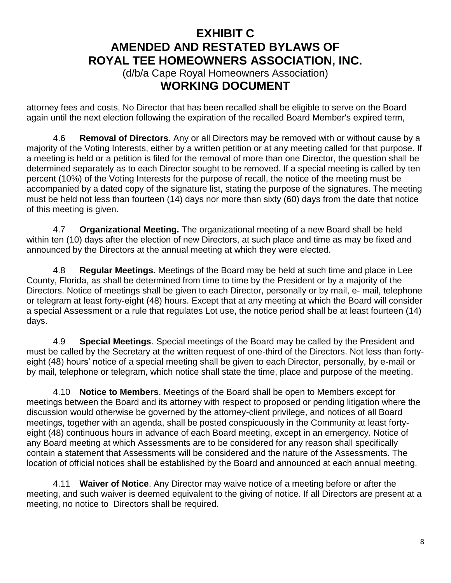(d/b/a Cape Royal Homeowners Association) **WORKING DOCUMENT**

attorney fees and costs, No Director that has been recalled shall be eligible to serve on the Board again until the next election following the expiration of the recalled Board Member's expired term,

4.6 **Removal of Directors**. Any or all Directors may be removed with or without cause by a majority of the Voting Interests, either by a written petition or at any meeting called for that purpose. If a meeting is held or a petition is filed for the removal of more than one Director, the question shall be determined separately as to each Director sought to be removed. If a special meeting is called by ten percent (10%) of the Voting Interests for the purpose of recall, the notice of the meeting must be accompanied by a dated copy of the signature list, stating the purpose of the signatures. The meeting must be held not less than fourteen (14) days nor more than sixty (60) days from the date that notice of this meeting is given.

4.7 **Organizational Meeting.** The organizational meeting of a new Board shall be held within ten (10) days after the election of new Directors, at such place and time as may be fixed and announced by the Directors at the annual meeting at which they were elected.

4.8 **Regular Meetings.** Meetings of the Board may be held at such time and place in Lee County, Florida, as shall be determined from time to time by the President or by a majority of the Directors. Notice of meetings shall be given to each Director, personally or by mail, e- mail, telephone or telegram at least forty-eight (48) hours. Except that at any meeting at which the Board will consider a special Assessment or a rule that regulates Lot use, the notice period shall be at least fourteen (14) days.

4.9 **Special Meetings**. Special meetings of the Board may be called by the President and must be called by the Secretary at the written request of one-third of the Directors. Not less than fortyeight (48) hours' notice of a special meeting shall be given to each Director, personally, by e-mail or by mail, telephone or telegram, which notice shall state the time, place and purpose of the meeting.

4.10 **Notice to Members**. Meetings of the Board shall be open to Members except for meetings between the Board and its attorney with respect to proposed or pending litigation where the discussion would otherwise be governed by the attorney-client privilege, and notices of all Board meetings, together with an agenda, shall be posted conspicuously in the Community at least fortyeight (48) continuous hours in advance of each Board meeting, except in an emergency. Notice of any Board meeting at which Assessments are to be considered for any reason shall specifically contain a statement that Assessments will be considered and the nature of the Assessments. The location of official notices shall be established by the Board and announced at each annual meeting.

4.11 **Waiver of Notice**. Any Director may waive notice of a meeting before or after the meeting, and such waiver is deemed equivalent to the giving of notice. If all Directors are present at a meeting, no notice to Directors shall be required.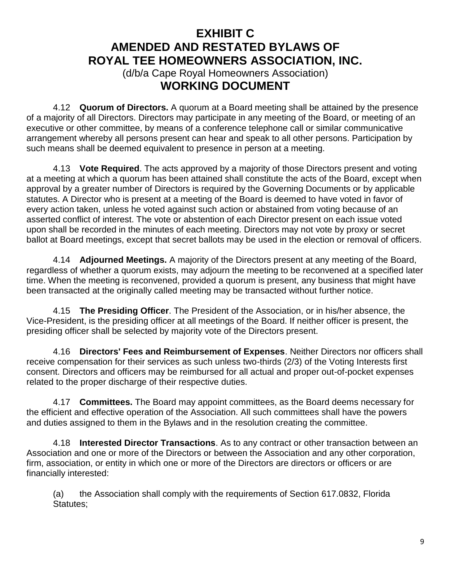(d/b/a Cape Royal Homeowners Association) **WORKING DOCUMENT**

4.12 **Quorum of Directors.** A quorum at a Board meeting shall be attained by the presence of a majority of all Directors. Directors may participate in any meeting of the Board, or meeting of an executive or other committee, by means of a conference telephone call or similar communicative arrangement whereby all persons present can hear and speak to all other persons. Participation by such means shall be deemed equivalent to presence in person at a meeting.

4.13 **Vote Required**. The acts approved by a majority of those Directors present and voting at a meeting at which a quorum has been attained shall constitute the acts of the Board, except when approval by a greater number of Directors is required by the Governing Documents or by applicable statutes. A Director who is present at a meeting of the Board is deemed to have voted in favor of every action taken, unless he voted against such action or abstained from voting because of an asserted conflict of interest. The vote or abstention of each Director present on each issue voted upon shall be recorded in the minutes of each meeting. Directors may not vote by proxy or secret ballot at Board meetings, except that secret ballots may be used in the election or removal of officers.

4.14 **Adjourned Meetings.** A majority of the Directors present at any meeting of the Board, regardless of whether a quorum exists, may adjourn the meeting to be reconvened at a specified later time. When the meeting is reconvened, provided a quorum is present, any business that might have been transacted at the originally called meeting may be transacted without further notice.

4.15 **The Presiding Officer**. The President of the Association, or in his/her absence, the Vice-President, is the presiding officer at all meetings of the Board. If neither officer is present, the presiding officer shall be selected by majority vote of the Directors present.

4.16 **Directors' Fees and Reimbursement of Expenses**. Neither Directors nor officers shall receive compensation for their services as such unless two-thirds (2/3) of the Voting Interests first consent. Directors and officers may be reimbursed for all actual and proper out-of-pocket expenses related to the proper discharge of their respective duties.

4.17 **Committees.** The Board may appoint committees, as the Board deems necessary for the efficient and effective operation of the Association. All such committees shall have the powers and duties assigned to them in the Bylaws and in the resolution creating the committee.

4.18 **Interested Director Transactions**. As to any contract or other transaction between an Association and one or more of the Directors or between the Association and any other corporation, firm, association, or entity in which one or more of the Directors are directors or officers or are financially interested:

(a) the Association shall comply with the requirements of Section 617.0832, Florida Statutes;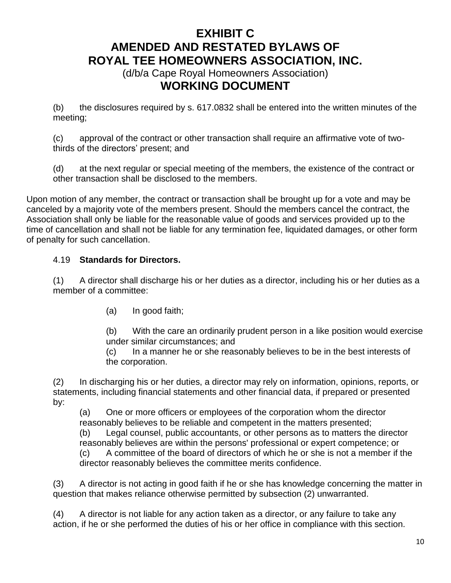(d/b/a Cape Royal Homeowners Association) **WORKING DOCUMENT**

(b) the disclosures required by s. 617.0832 shall be entered into the written minutes of the meeting;

(c) approval of the contract or other transaction shall require an affirmative vote of twothirds of the directors' present; and

(d) at the next regular or special meeting of the members, the existence of the contract or other transaction shall be disclosed to the members.

Upon motion of any member, the contract or transaction shall be brought up for a vote and may be canceled by a majority vote of the members present. Should the members cancel the contract, the Association shall only be liable for the reasonable value of goods and services provided up to the time of cancellation and shall not be liable for any termination fee, liquidated damages, or other form of penalty for such cancellation.

#### 4.19 **Standards for Directors.**

(1) A director shall discharge his or her duties as a director, including his or her duties as a member of a committee:

(a) In good faith;

(b) With the care an ordinarily prudent person in a like position would exercise under similar circumstances; and

(c) In a manner he or she reasonably believes to be in the best interests of the corporation.

(2) In discharging his or her duties, a director may rely on information, opinions, reports, or statements, including financial statements and other financial data, if prepared or presented by:

(a) One or more officers or employees of the corporation whom the director reasonably believes to be reliable and competent in the matters presented;

(b) Legal counsel, public accountants, or other persons as to matters the director reasonably believes are within the persons' professional or expert competence; or

(c) A committee of the board of directors of which he or she is not a member if the director reasonably believes the committee merits confidence.

(3) A director is not acting in good faith if he or she has knowledge concerning the matter in question that makes reliance otherwise permitted by subsection (2) unwarranted.

(4) A director is not liable for any action taken as a director, or any failure to take any action, if he or she performed the duties of his or her office in compliance with this section.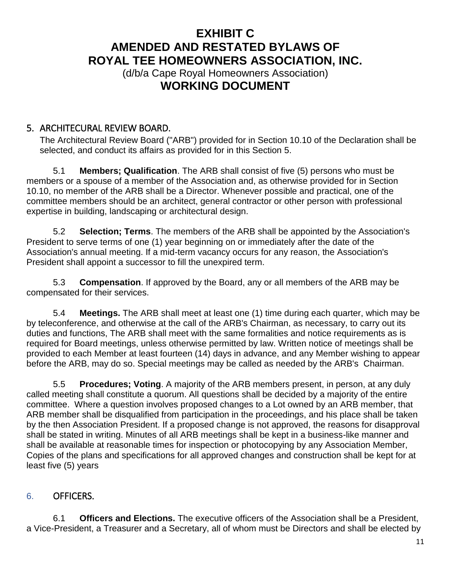(d/b/a Cape Royal Homeowners Association) **WORKING DOCUMENT**

### <span id="page-10-0"></span>5. ARCHITECURAL REVIEW BOARD.

The Architectural Review Board ("ARB") provided for in Section 10.10 of the Declaration shall be selected, and conduct its affairs as provided for in this Section 5.

5.1 **Members; Qualification**. The ARB shall consist of five (5) persons who must be members or a spouse of a member of the Association and, as otherwise provided for in Section 10.10, no member of the ARB shall be a Director. Whenever possible and practical, one of the committee members should be an architect, general contractor or other person with professional expertise in building, landscaping or architectural design.

5.2 **Selection; Terms**. The members of the ARB shall be appointed by the Association's President to serve terms of one (1) year beginning on or immediately after the date of the Association's annual meeting. If a mid-term vacancy occurs for any reason, the Association's President shall appoint a successor to fill the unexpired term.

5.3 **Compensation**. If approved by the Board, any or all members of the ARB may be compensated for their services.

5.4 **Meetings.** The ARB shall meet at least one (1) time during each quarter, which may be by teleconference, and otherwise at the call of the ARB's Chairman, as necessary, to carry out its duties and functions, The ARB shall meet with the same formalities and notice requirements as is required for Board meetings, unless otherwise permitted by law. Written notice of meetings shall be provided to each Member at least fourteen (14) days in advance, and any Member wishing to appear before the ARB, may do so. Special meetings may be called as needed by the ARB's Chairman.

5.5 **Procedures; Voting**. A majority of the ARB members present, in person, at any duly called meeting shall constitute a quorum. All questions shall be decided by a majority of the entire committee. Where a question involves proposed changes to a Lot owned by an ARB member, that ARB member shall be disqualified from participation in the proceedings, and his place shall be taken by the then Association President. If a proposed change is not approved, the reasons for disapproval shall be stated in writing. Minutes of all ARB meetings shall be kept in a business-like manner and shall be available at reasonable times for inspection or photocopying by any Association Member, Copies of the plans and specifications for all approved changes and construction shall be kept for at least five (5) years

#### <span id="page-10-1"></span>6. OFFICERS.

6.1 **Officers and Elections.** The executive officers of the Association shall be a President, a Vice-President, a Treasurer and a Secretary, all of whom must be Directors and shall be elected by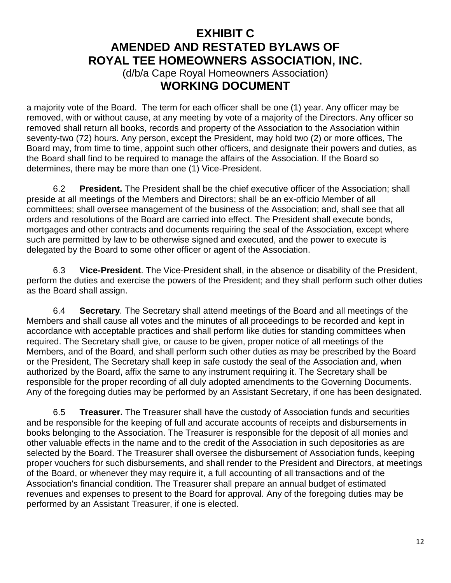(d/b/a Cape Royal Homeowners Association) **WORKING DOCUMENT**

a majority vote of the Board. The term for each officer shall be one (1) year. Any officer may be removed, with or without cause, at any meeting by vote of a majority of the Directors. Any officer so removed shall return all books, records and property of the Association to the Association within seventy-two (72) hours. Any person, except the President, may hold two (2) or more offices, The Board may, from time to time, appoint such other officers, and designate their powers and duties, as the Board shall find to be required to manage the affairs of the Association. If the Board so determines, there may be more than one (1) Vice-President.

6.2 **President.** The President shall be the chief executive officer of the Association; shall preside at all meetings of the Members and Directors; shall be an ex-officio Member of all committees; shall oversee management of the business of the Association; and, shall see that all orders and resolutions of the Board are carried into effect. The President shall execute bonds, mortgages and other contracts and documents requiring the seal of the Association, except where such are permitted by law to be otherwise signed and executed, and the power to execute is delegated by the Board to some other officer or agent of the Association.

6.3 **Vice-President**. The Vice-President shall, in the absence or disability of the President, perform the duties and exercise the powers of the President; and they shall perform such other duties as the Board shall assign.

6.4 **Secretary**. The Secretary shall attend meetings of the Board and all meetings of the Members and shall cause all votes and the minutes of all proceedings to be recorded and kept in accordance with acceptable practices and shall perform like duties for standing committees when required. The Secretary shall give, or cause to be given, proper notice of all meetings of the Members, and of the Board, and shall perform such other duties as may be prescribed by the Board or the President, The Secretary shall keep in safe custody the seal of the Association and, when authorized by the Board, affix the same to any instrument requiring it. The Secretary shall be responsible for the proper recording of all duly adopted amendments to the Governing Documents. Any of the foregoing duties may be performed by an Assistant Secretary, if one has been designated.

6.5 **Treasurer.** The Treasurer shall have the custody of Association funds and securities and be responsible for the keeping of full and accurate accounts of receipts and disbursements in books belonging to the Association. The Treasurer is responsible for the deposit of all monies and other valuable effects in the name and to the credit of the Association in such depositories as are selected by the Board. The Treasurer shall oversee the disbursement of Association funds, keeping proper vouchers for such disbursements, and shall render to the President and Directors, at meetings of the Board, or whenever they may require it, a full accounting of all transactions and of the Association's financial condition. The Treasurer shall prepare an annual budget of estimated revenues and expenses to present to the Board for approval. Any of the foregoing duties may be performed by an Assistant Treasurer, if one is elected.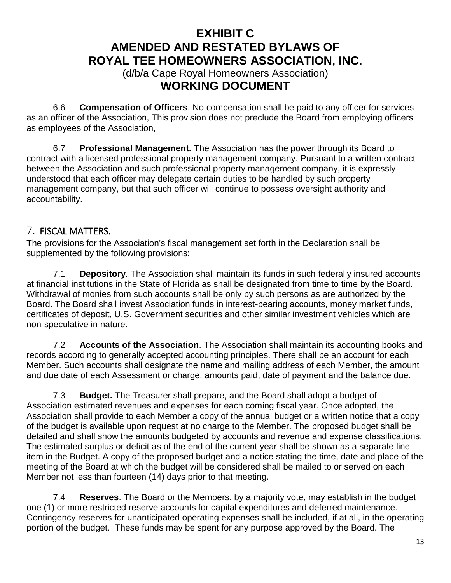(d/b/a Cape Royal Homeowners Association) **WORKING DOCUMENT**

6.6 **Compensation of Officers**. No compensation shall be paid to any officer for services as an officer of the Association, This provision does not preclude the Board from employing officers as employees of the Association,

6.7 **Professional Management.** The Association has the power through its Board to contract with a licensed professional property management company. Pursuant to a written contract between the Association and such professional property management company, it is expressly understood that each officer may delegate certain duties to be handled by such property management company, but that such officer will continue to possess oversight authority and accountability.

### <span id="page-12-0"></span>7. FISCAL MATTERS.

The provisions for the Association's fiscal management set forth in the Declaration shall be supplemented by the following provisions:

7.1 **Depository**. The Association shall maintain its funds in such federally insured accounts at financial institutions in the State of Florida as shall be designated from time to time by the Board. Withdrawal of monies from such accounts shall be only by such persons as are authorized by the Board. The Board shall invest Association funds in interest-bearing accounts, money market funds, certificates of deposit, U.S. Government securities and other similar investment vehicles which are non-speculative in nature.

7.2 **Accounts of the Association**. The Association shall maintain its accounting books and records according to generally accepted accounting principles. There shall be an account for each Member. Such accounts shall designate the name and mailing address of each Member, the amount and due date of each Assessment or charge, amounts paid, date of payment and the balance due.

7.3 **Budget.** The Treasurer shall prepare, and the Board shall adopt a budget of Association estimated revenues and expenses for each coming fiscal year. Once adopted, the Association shall provide to each Member a copy of the annual budget or a written notice that a copy of the budget is available upon request at no charge to the Member. The proposed budget shall be detailed and shall show the amounts budgeted by accounts and revenue and expense classifications. The estimated surplus or deficit as of the end of the current year shall be shown as a separate line item in the Budget. A copy of the proposed budget and a notice stating the time, date and place of the meeting of the Board at which the budget will be considered shall be mailed to or served on each Member not less than fourteen (14) days prior to that meeting.

7.4 **Reserves**. The Board or the Members, by a majority vote, may establish in the budget one (1) or more restricted reserve accounts for capital expenditures and deferred maintenance. Contingency reserves for unanticipated operating expenses shall be included, if at all, in the operating portion of the budget. These funds may be spent for any purpose approved by the Board. The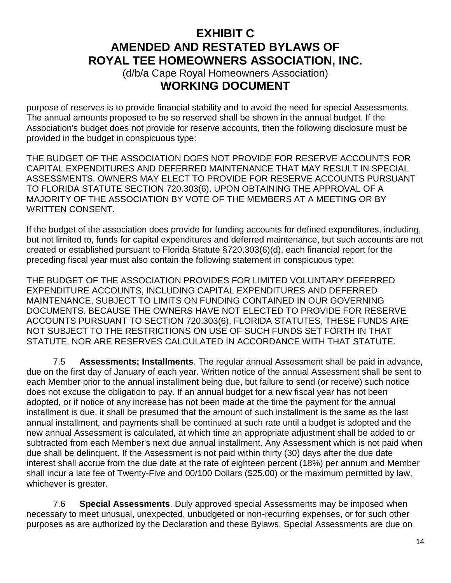(d/b/a Cape Royal Homeowners Association) **WORKING DOCUMENT**

purpose of reserves is to provide financial stability and to avoid the need for special Assessments. The annual amounts proposed to be so reserved shall be shown in the annual budget. If the Association's budget does not provide for reserve accounts, then the following disclosure must be provided in the budget in conspicuous type:

THE BUDGET OF THE ASSOCIATION DOES NOT PROVIDE FOR RESERVE ACCOUNTS FOR CAPITAL EXPENDITURES AND DEFERRED MAINTENANCE THAT MAY RESULT IN SPECIAL ASSESSMENTS. OWNERS MAY ELECT TO PROVIDE FOR RESERVE ACCOUNTS PURSUANT TO FLORIDA STATUTE SECTION 720.303(6), UPON OBTAINING THE APPROVAL OF A MAJORITY OF THE ASSOCIATION BY VOTE OF THE MEMBERS AT A MEETING OR BY WRITTEN CONSENT.

If the budget of the association does provide for funding accounts for defined expenditures, including, but not limited to, funds for capital expenditures and deferred maintenance, but such accounts are not created or established pursuant to Florida Statute §720.303(6)(d), each financial report for the preceding fiscal year must also contain the following statement in conspicuous type:

THE BUDGET OF THE ASSOCIATION PROVIDES FOR LIMITED VOLUNTARY DEFERRED EXPENDITURE ACCOUNTS, INCLUDING CAPITAL EXPENDITURES AND DEFERRED MAINTENANCE, SUBJECT TO LIMITS ON FUNDING CONTAINED IN OUR GOVERNING DOCUMENTS. BECAUSE THE OWNERS HAVE NOT ELECTED TO PROVIDE FOR RESERVE ACCOUNTS PURSUANT TO SECTION 720.303(6), FLORIDA STATUTES, THESE FUNDS ARE NOT SUBJECT TO THE RESTRICTIONS ON USE OF SUCH FUNDS SET FORTH IN THAT STATUTE, NOR ARE RESERVES CALCULATED IN ACCORDANCE WITH THAT STATUTE.

7.5 **Assessments; Installments**. The regular annual Assessment shall be paid in advance, due on the first day of January of each year. Written notice of the annual Assessment shall be sent to each Member prior to the annual installment being due, but failure to send (or receive) such notice does not excuse the obligation to pay. If an annual budget for a new fiscal year has not been adopted, or if notice of any increase has not been made at the time the payment for the annual installment is due, it shall be presumed that the amount of such installment is the same as the last annual installment, and payments shall be continued at such rate until a budget is adopted and the new annual Assessment is calculated, at which time an appropriate adjustment shall be added to or subtracted from each Member's next due annual installment. Any Assessment which is not paid when due shall be delinquent. If the Assessment is not paid within thirty (30) days after the due date interest shall accrue from the due date at the rate of eighteen percent (18%) per annum and Member shall incur a late fee of Twenty-Five and 00/100 Dollars (\$25.00) or the maximum permitted by law, whichever is greater.

7.6 **Special Assessments**. Duly approved special Assessments may be imposed when necessary to meet unusual, unexpected, unbudgeted or non-recurring expenses, or for such other purposes as are authorized by the Declaration and these Bylaws. Special Assessments are due on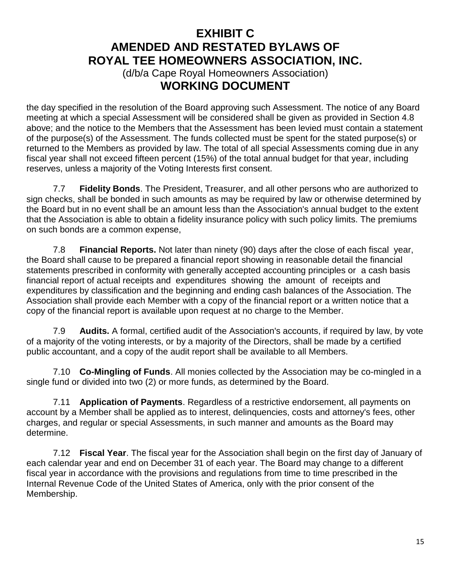(d/b/a Cape Royal Homeowners Association) **WORKING DOCUMENT**

the day specified in the resolution of the Board approving such Assessment. The notice of any Board meeting at which a special Assessment will be considered shall be given as provided in Section 4.8 above; and the notice to the Members that the Assessment has been levied must contain a statement of the purpose(s) of the Assessment. The funds collected must be spent for the stated purpose(s) or returned to the Members as provided by law. The total of all special Assessments coming due in any fiscal year shall not exceed fifteen percent (15%) of the total annual budget for that year, including reserves, unless a majority of the Voting Interests first consent.

7.7 **Fidelity Bonds**. The President, Treasurer, and all other persons who are authorized to sign checks, shall be bonded in such amounts as may be required by law or otherwise determined by the Board but in no event shall be an amount less than the Association's annual budget to the extent that the Association is able to obtain a fidelity insurance policy with such policy limits. The premiums on such bonds are a common expense,

7.8 **Financial Reports.** Not later than ninety (90) days after the close of each fiscal year, the Board shall cause to be prepared a financial report showing in reasonable detail the financial statements prescribed in conformity with generally accepted accounting principles or a cash basis financial report of actual receipts and expenditures showing the amount of receipts and expenditures by classification and the beginning and ending cash balances of the Association. The Association shall provide each Member with a copy of the financial report or a written notice that a copy of the financial report is available upon request at no charge to the Member.

7.9 **Audits.** A formal, certified audit of the Association's accounts, if required by law, by vote of a majority of the voting interests, or by a majority of the Directors, shall be made by a certified public accountant, and a copy of the audit report shall be available to all Members.

7.10 **Co-Mingling of Funds**. All monies collected by the Association may be co-mingled in a single fund or divided into two (2) or more funds, as determined by the Board.

7.11 **Application of Payments**. Regardless of a restrictive endorsement, all payments on account by a Member shall be applied as to interest, delinquencies, costs and attorney's fees, other charges, and regular or special Assessments, in such manner and amounts as the Board may determine.

7.12 **Fiscal Year**. The fiscal year for the Association shall begin on the first day of January of each calendar year and end on December 31 of each year. The Board may change to a different fiscal year in accordance with the provisions and regulations from time to time prescribed in the Internal Revenue Code of the United States of America, only with the prior consent of the Membership.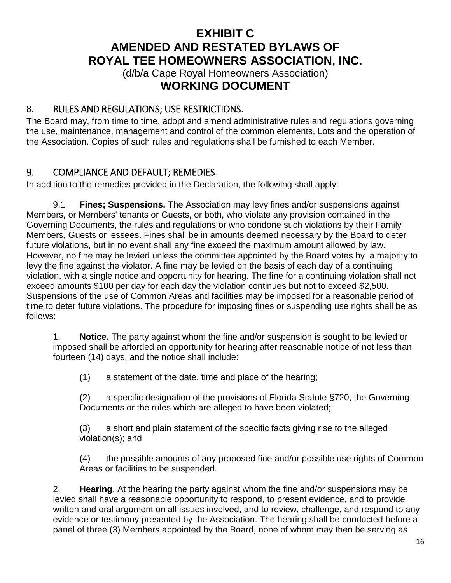(d/b/a Cape Royal Homeowners Association) **WORKING DOCUMENT**

### <span id="page-15-0"></span>8. RULES AND REGULATIONS; USE RESTRICTIONS.

The Board may, from time to time, adopt and amend administrative rules and regulations governing the use, maintenance, management and control of the common elements, Lots and the operation of the Association. Copies of such rules and regulations shall be furnished to each Member.

#### <span id="page-15-1"></span>9. COMPLIANCE AND DEFAULT; REMEDIES.

In addition to the remedies provided in the Declaration, the following shall apply:

9.1 **Fines; Suspensions.** The Association may levy fines and/or suspensions against Members, or Members' tenants or Guests, or both, who violate any provision contained in the Governing Documents, the rules and regulations or who condone such violations by their Family Members, Guests or lessees. Fines shall be in amounts deemed necessary by the Board to deter future violations, but in no event shall any fine exceed the maximum amount allowed by law. However, no fine may be levied unless the committee appointed by the Board votes by a majority to levy the fine against the violator. A fine may be levied on the basis of each day of a continuing violation, with a single notice and opportunity for hearing. The fine for a continuing violation shall not exceed amounts \$100 per day for each day the violation continues but not to exceed \$2,500. Suspensions of the use of Common Areas and facilities may be imposed for a reasonable period of time to deter future violations. The procedure for imposing fines or suspending use rights shall be as follows:

1. **Notice.** The party against whom the fine and/or suspension is sought to be levied or imposed shall be afforded an opportunity for hearing after reasonable notice of not less than fourteen (14) days, and the notice shall include:

(1) a statement of the date, time and place of the hearing;

(2) a specific designation of the provisions of Florida Statute §720, the Governing Documents or the rules which are alleged to have been violated;

(3) a short and plain statement of the specific facts giving rise to the alleged violation(s); and

(4) the possible amounts of any proposed fine and/or possible use rights of Common Areas or facilities to be suspended.

2. **Hearing**. At the hearing the party against whom the fine and/or suspensions may be levied shall have a reasonable opportunity to respond, to present evidence, and to provide written and oral argument on all issues involved, and to review, challenge, and respond to any evidence or testimony presented by the Association. The hearing shall be conducted before a panel of three (3) Members appointed by the Board, none of whom may then be serving as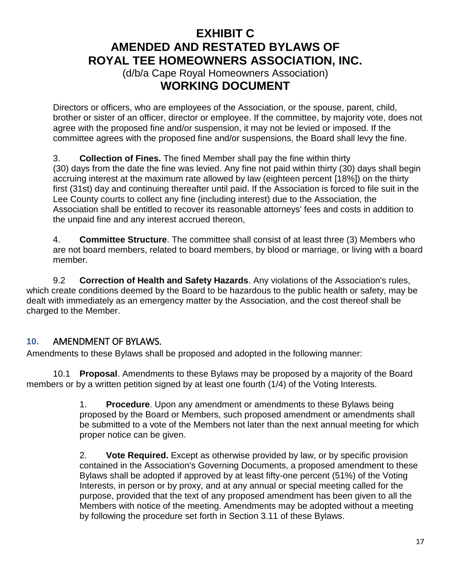(d/b/a Cape Royal Homeowners Association) **WORKING DOCUMENT**

Directors or officers, who are employees of the Association, or the spouse, parent, child, brother or sister of an officer, director or employee. If the committee, by majority vote, does not agree with the proposed fine and/or suspension, it may not be levied or imposed. If the committee agrees with the proposed fine and/or suspensions, the Board shall levy the fine.

3. **Collection of Fines.** The fined Member shall pay the fine within thirty (30) days from the date the fine was levied. Any fine not paid within thirty (30) days shall begin accruing interest at the maximum rate allowed by law (eighteen percent [18%]) on the thirty first (31st) day and continuing thereafter until paid. If the Association is forced to file suit in the Lee County courts to collect any fine (including interest) due to the Association, the Association shall be entitled to recover its reasonable attorneys' fees and costs in addition to the unpaid fine and any interest accrued thereon,

4. **Committee Structure**. The committee shall consist of at least three (3) Members who are not board members, related to board members, by blood or marriage, or living with a board member.

9.2 **Correction of Health and Safety Hazards**. Any violations of the Association's rules, which create conditions deemed by the Board to be hazardous to the public health or safety, may be dealt with immediately as an emergency matter by the Association, and the cost thereof shall be charged to the Member.

### <span id="page-16-0"></span>**10.** AMENDMENT OF BYLAWS.

Amendments to these Bylaws shall be proposed and adopted in the following manner:

10.1 **Proposal**. Amendments to these Bylaws may be proposed by a majority of the Board members or by a written petition signed by at least one fourth (1/4) of the Voting Interests.

> 1. **Procedure**. Upon any amendment or amendments to these Bylaws being proposed by the Board or Members, such proposed amendment or amendments shall be submitted to a vote of the Members not later than the next annual meeting for which proper notice can be given.

> 2. **Vote Required.** Except as otherwise provided by law, or by specific provision contained in the Association's Governing Documents, a proposed amendment to these Bylaws shall be adopted if approved by at least fifty-one percent (51%) of the Voting Interests, in person or by proxy, and at any annual or special meeting called for the purpose, provided that the text of any proposed amendment has been given to all the Members with notice of the meeting. Amendments may be adopted without a meeting by following the procedure set forth in Section 3.11 of these Bylaws.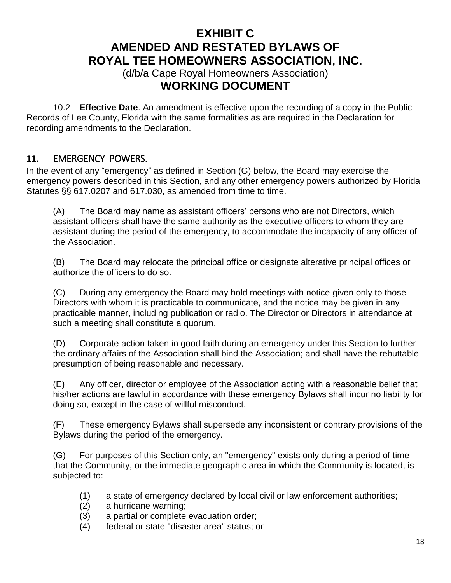(d/b/a Cape Royal Homeowners Association) **WORKING DOCUMENT**

10.2 **Effective Date**. An amendment is effective upon the recording of a copy in the Public Records of Lee County, Florida with the same formalities as are required in the Declaration for recording amendments to the Declaration.

#### <span id="page-17-0"></span>**11.** EMERGENCY POWERS.

In the event of any "emergency" as defined in Section (G) below, the Board may exercise the emergency powers described in this Section, and any other emergency powers authorized by Florida Statutes §§ 617.0207 and 617.030, as amended from time to time.

(A) The Board may name as assistant officers' persons who are not Directors, which assistant officers shall have the same authority as the executive officers to whom they are assistant during the period of the emergency, to accommodate the incapacity of any officer of the Association.

(B) The Board may relocate the principal office or designate alterative principal offices or authorize the officers to do so.

(C) During any emergency the Board may hold meetings with notice given only to those Directors with whom it is practicable to communicate, and the notice may be given in any practicable manner, including publication or radio. The Director or Directors in attendance at such a meeting shall constitute a quorum.

(D) Corporate action taken in good faith during an emergency under this Section to further the ordinary affairs of the Association shall bind the Association; and shall have the rebuttable presumption of being reasonable and necessary.

(E) Any officer, director or employee of the Association acting with a reasonable belief that his/her actions are lawful in accordance with these emergency Bylaws shall incur no liability for doing so, except in the case of willful misconduct,

(F) These emergency Bylaws shall supersede any inconsistent or contrary provisions of the Bylaws during the period of the emergency.

(G) For purposes of this Section only, an "emergency" exists only during a period of time that the Community, or the immediate geographic area in which the Community is located, is subjected to:

- (1) a state of emergency declared by local civil or law enforcement authorities;
- (2) a hurricane warning;
- (3) a partial or complete evacuation order;
- (4) federal or state "disaster area" status; or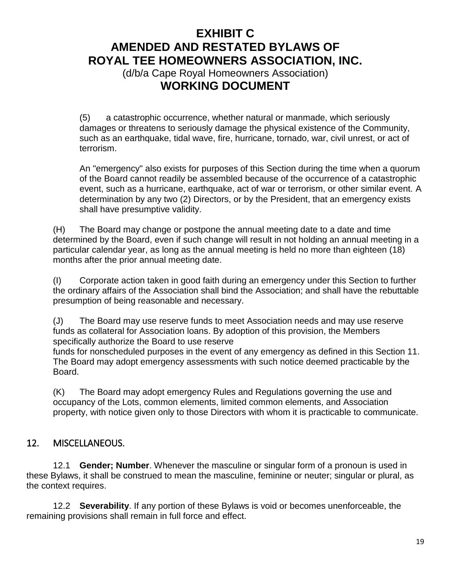(d/b/a Cape Royal Homeowners Association) **WORKING DOCUMENT**

(5) a catastrophic occurrence, whether natural or manmade, which seriously damages or threatens to seriously damage the physical existence of the Community, such as an earthquake, tidal wave, fire, hurricane, tornado, war, civil unrest, or act of terrorism.

An "emergency" also exists for purposes of this Section during the time when a quorum of the Board cannot readily be assembled because of the occurrence of a catastrophic event, such as a hurricane, earthquake, act of war or terrorism, or other similar event. A determination by any two (2) Directors, or by the President, that an emergency exists shall have presumptive validity.

(H) The Board may change or postpone the annual meeting date to a date and time determined by the Board, even if such change will result in not holding an annual meeting in a particular calendar year, as long as the annual meeting is held no more than eighteen (18) months after the prior annual meeting date.

(I) Corporate action taken in good faith during an emergency under this Section to further the ordinary affairs of the Association shall bind the Association; and shall have the rebuttable presumption of being reasonable and necessary.

(J) The Board may use reserve funds to meet Association needs and may use reserve funds as collateral for Association loans. By adoption of this provision, the Members specifically authorize the Board to use reserve

funds for nonscheduled purposes in the event of any emergency as defined in this Section 11. The Board may adopt emergency assessments with such notice deemed practicable by the Board.

(K) The Board may adopt emergency Rules and Regulations governing the use and occupancy of the Lots, common elements, limited common elements, and Association property, with notice given only to those Directors with whom it is practicable to communicate.

### <span id="page-18-0"></span>12. MISCELLANEOUS.

12.1 **Gender; Number**. Whenever the masculine or singular form of a pronoun is used in these Bylaws, it shall be construed to mean the masculine, feminine or neuter; singular or plural, as the context requires.

12.2 **Severability**. If any portion of these Bylaws is void or becomes unenforceable, the remaining provisions shall remain in full force and effect.